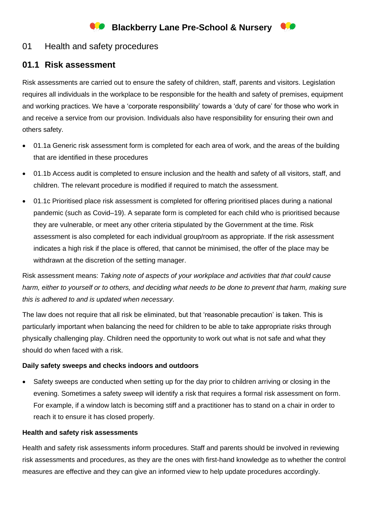# **Blackberry Lane Pre-School & Nursery**

## 01 Health and safety procedures

### **01.1 Risk assessment**

Risk assessments are carried out to ensure the safety of children, staff, parents and visitors. Legislation requires all individuals in the workplace to be responsible for the health and safety of premises, equipment and working practices. We have a 'corporate responsibility' towards a 'duty of care' for those who work in and receive a service from our provision. Individuals also have responsibility for ensuring their own and others safety.

- 01.1a Generic risk assessment form is completed for each area of work, and the areas of the building that are identified in these procedures
- 01.1b Access audit is completed to ensure inclusion and the health and safety of all visitors, staff, and children. The relevant procedure is modified if required to match the assessment.
- 01.1c Prioritised place risk assessment is completed for offering prioritised places during a national pandemic (such as Covid–19). A separate form is completed for each child who is prioritised because they are vulnerable, or meet any other criteria stipulated by the Government at the time. Risk assessment is also completed for each individual group/room as appropriate. If the risk assessment indicates a high risk if the place is offered, that cannot be minimised, the offer of the place may be withdrawn at the discretion of the setting manager.

Risk assessment means: *Taking note of aspects of your workplace and activities that that could cause harm, either to yourself or to others, and deciding what needs to be done to prevent that harm, making sure this is adhered to and is updated when necessary*.

The law does not require that all risk be eliminated, but that 'reasonable precaution' is taken. This is particularly important when balancing the need for children to be able to take appropriate risks through physically challenging play. Children need the opportunity to work out what is not safe and what they should do when faced with a risk.

### **Daily safety sweeps and checks indoors and outdoors**

• Safety sweeps are conducted when setting up for the day prior to children arriving or closing in the evening. Sometimes a safety sweep will identify a risk that requires a formal risk assessment on form. For example, if a window latch is becoming stiff and a practitioner has to stand on a chair in order to reach it to ensure it has closed properly.

### **Health and safety risk assessments**

Health and safety risk assessments inform procedures. Staff and parents should be involved in reviewing risk assessments and procedures, as they are the ones with first-hand knowledge as to whether the control measures are effective and they can give an informed view to help update procedures accordingly.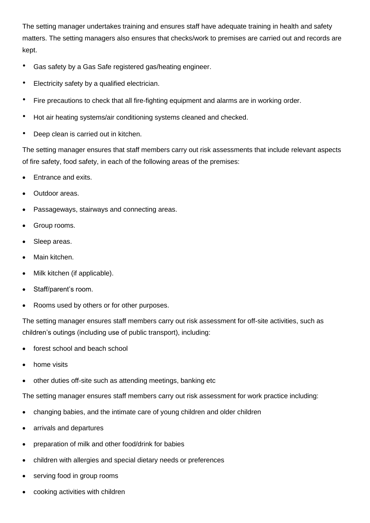The setting manager undertakes training and ensures staff have adequate training in health and safety matters. The setting managers also ensures that checks/work to premises are carried out and records are kept.

- Gas safety by a Gas Safe registered gas/heating engineer.
- Electricity safety by a qualified electrician.
- Fire precautions to check that all fire-fighting equipment and alarms are in working order.
- Hot air heating systems/air conditioning systems cleaned and checked.
- Deep clean is carried out in kitchen.

The setting manager ensures that staff members carry out risk assessments that include relevant aspects of fire safety, food safety, in each of the following areas of the premises:

- Entrance and exits.
- Outdoor areas.
- Passageways, stairways and connecting areas.
- Group rooms.
- Sleep areas.
- Main kitchen.
- Milk kitchen (if applicable).
- Staff/parent's room.
- Rooms used by others or for other purposes.

The setting manager ensures staff members carry out risk assessment for off-site activities, such as children's outings (including use of public transport), including:

- forest school and beach school
- home visits
- other duties off-site such as attending meetings, banking etc

The setting manager ensures staff members carry out risk assessment for work practice including:

- changing babies, and the intimate care of young children and older children
- arrivals and departures
- preparation of milk and other food/drink for babies
- children with allergies and special dietary needs or preferences
- serving food in group rooms
- cooking activities with children